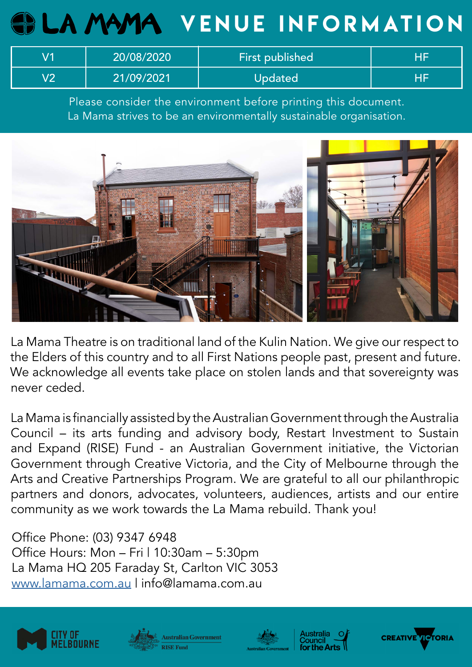# **GELA MAMA VENUE INFORMATION**

|            | 20/08/2020 | <b>First published</b> |  |
|------------|------------|------------------------|--|
| <b>\/つ</b> | 21/09/2021 | Updated                |  |

Please consider the environment before printing this document. La Mama strives to be an environmentally sustainable organisation.



La Mama Theatre is on traditional land of the Kulin Nation. We give our respect to the Elders of this country and to all First Nations people past, present and future. We acknowledge all events take place on stolen lands and that sovereignty was never ceded.

La Mama is financially assisted by the Australian Government through the Australia Council – its arts funding and advisory body, Restart Investment to Sustain and Expand (RISE) Fund - an Australian Government initiative, the Victorian Government through Creative Victoria, and the City of Melbourne through the Arts and Creative Partnerships Program. We are grateful to all our philanthropic partners and donors, advocates, volunteers, audiences, artists and our entire community as we work towards the La Mama rebuild. Thank you!

Office Phone: (03) 9347 6948 Office Hours: Mon - Fri | 10:30am - 5:30pm La Mama HQ 205 Faraday St, Carlton VIC 3053 www.lamama.com.au | info@lamama.com.au









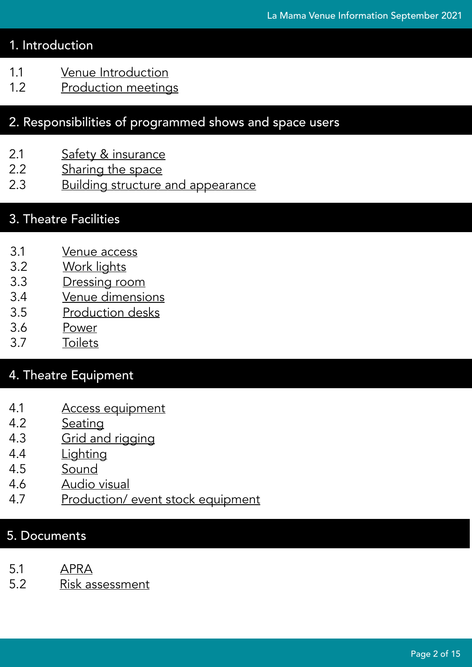# 1. Introduction

- 1.1 [Venue Introduction](#page-2-0)
- 1.2 [Production meetings](#page-2-1)

# 2. Responsibilities of programmed shows and space users

- 2.1 [Safety & insurance](#page-2-2)
- 2.2 [Sharing the space](#page-3-0)
- 2.3 [Building structure and appearance](#page-4-0)

# 3. Theatre Facilities

- 3.1 [Venue access](#page-5-0)
- 3.2 [Work lights](#page-5-1)
- 3.3 [Dressing room](#page-6-0)
- 3.4 [Venue dimensions](#page-7-0)
- 3.5 [Production desks](#page-7-1)
- 3.6 [Power](#page-7-2)
- 3.7 [Toilets](#page-7-3)

# 4. Theatre Equipment

- 4.1 [Access equipment](#page-8-0)
- 4.2 [Seating](#page-8-1)
- 4.3 [Grid and rigging](#page-9-0)
- 4.4 [Lighting](#page-9-1)
- 4.5 [Sound](#page-11-0)
- 4.6 [Audio visual](#page-12-0)
- 4.7 [Production/ event stock equipment](#page-13-0)

# 5. Documents

- 5.1 [APRA](#page-14-0)
- 5.2 [Risk assessment](#page-14-1)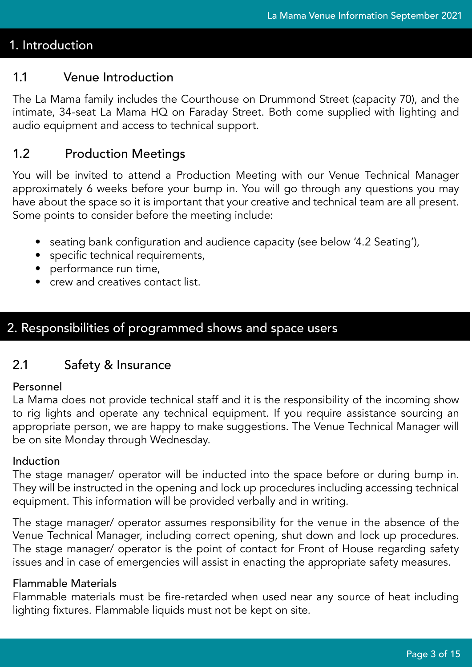# 1. Introduction

## <span id="page-2-0"></span>1.1 Venue Introduction

The La Mama family includes the Courthouse on Drummond Street (capacity 70), and the intimate, 34-seat La Mama HQ on Faraday Street. Both come supplied with lighting and audio equipment and access to technical support.

## <span id="page-2-1"></span>1.2 Production Meetings

You will be invited to attend a Production Meeting with our Venue Technical Manager approximately 6 weeks before your bump in. You will go through any questions you may have about the space so it is important that your creative and technical team are all present. Some points to consider before the meeting include:

- seating bank configuration and audience capacity (see below '4.2 Seating'),
- specific technical requirements,
- performance run time,
- crew and creatives contact list.

# 2. Responsibilities of programmed shows and space users

## <span id="page-2-2"></span>2.1 Safety & Insurance

## Personnel

La Mama does not provide technical staff and it is the responsibility of the incoming show to rig lights and operate any technical equipment. If you require assistance sourcing an appropriate person, we are happy to make suggestions. The Venue Technical Manager will be on site Monday through Wednesday.

## Induction

The stage manager/ operator will be inducted into the space before or during bump in. They will be instructed in the opening and lock up procedures including accessing technical equipment. This information will be provided verbally and in writing.

The stage manager/ operator assumes responsibility for the venue in the absence of the Venue Technical Manager, including correct opening, shut down and lock up procedures. The stage manager/ operator is the point of contact for Front of House regarding safety issues and in case of emergencies will assist in enacting the appropriate safety measures.

## Flammable Materials

Flammable materials must be fire-retarded when used near any source of heat including lighting fixtures. Flammable liquids must not be kept on site.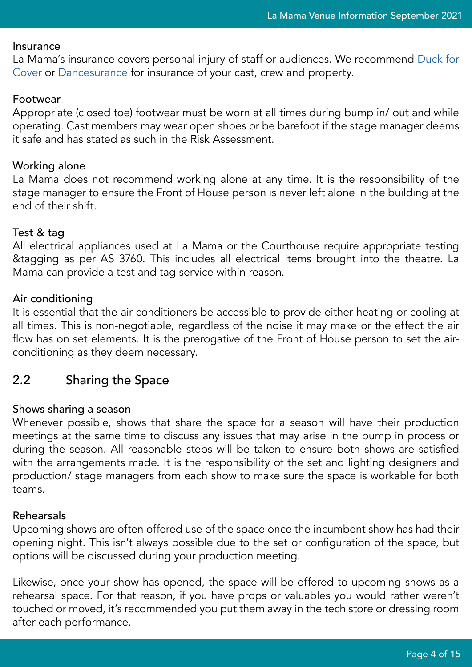#### Insurance

La Mama's insurance covers personal injury of staff or audiences. We recommend [Duck for](https://www.duckforcover.com.au/html/rates-for-groups.cfm) [Cover](https://www.duckforcover.com.au/html/rates-for-groups.cfm) or [Dancesurance](https://dancesurance.com/products/) for insurance of your cast, crew and property.

#### Footwear

Appropriate (closed toe) footwear must be worn at all times during bump in/ out and while operating. Cast members may wear open shoes or be barefoot if the stage manager deems it safe and has stated as such in the Risk Assessment.

#### Working alone

La Mama does not recommend working alone at any time. It is the responsibility of the stage manager to ensure the Front of House person is never left alone in the building at the end of their shift.

#### Test & tag

All electrical appliances used at La Mama or the Courthouse require appropriate testing &tagging as per AS 3760. This includes all electrical items brought into the theatre. La Mama can provide a test and tag service within reason.

## Air conditioning

It is essential that the air conditioners be accessible to provide either heating or cooling at all times. This is non-negotiable, regardless of the noise it may make or the effect the air flow has on set elements. It is the prerogative of the Front of House person to set the airconditioning as they deem necessary.

# <span id="page-3-0"></span>2.2 Sharing the Space

## Shows sharing a season

Whenever possible, shows that share the space for a season will have their production meetings at the same time to discuss any issues that may arise in the bump in process or during the season. All reasonable steps will be taken to ensure both shows are satisfied with the arrangements made. It is the responsibility of the set and lighting designers and production/ stage managers from each show to make sure the space is workable for both teams.

#### Rehearsals

Upcoming shows are often offered use of the space once the incumbent show has had their opening night. This isn't always possible due to the set or configuration of the space, but options will be discussed during your production meeting.

Likewise, once your show has opened, the space will be offered to upcoming shows as a rehearsal space. For that reason, if you have props or valuables you would rather weren't touched or moved, it's recommended you put them away in the tech store or dressing room after each performance.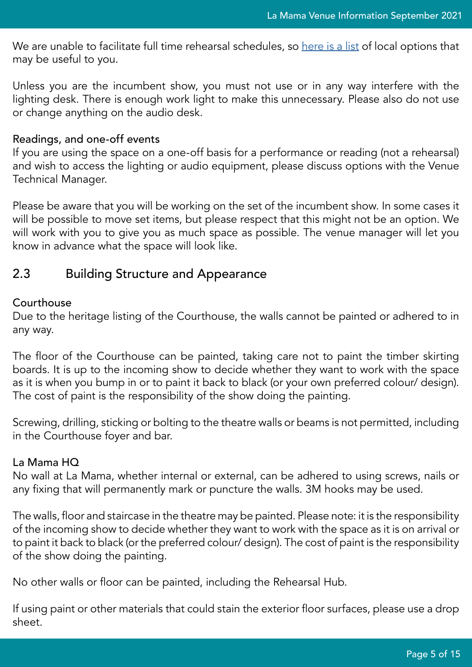We are unable to facilitate full time rehearsal schedules, so [here is a list](https://www.dropbox.com/s/atwje1zlieipj26/La%20Mama%20Rehearsal%20Venue%20List.xlsx?dl=0) of local options that may be useful to you.

Unless you are the incumbent show, you must not use or in any way interfere with the lighting desk. There is enough work light to make this unnecessary. Please also do not use or change anything on the audio desk.

#### Readings, and one-off events

If you are using the space on a one-off basis for a performance or reading (not a rehearsal) and wish to access the lighting or audio equipment, please discuss options with the Venue Technical Manager.

Please be aware that you will be working on the set of the incumbent show. In some cases it will be possible to move set items, but please respect that this might not be an option. We will work with you to give you as much space as possible. The venue manager will let you know in advance what the space will look like.

## <span id="page-4-0"></span>2.3 Building Structure and Appearance

## Courthouse

Due to the heritage listing of the Courthouse, the walls cannot be painted or adhered to in any way.

The floor of the Courthouse can be painted, taking care not to paint the timber skirting boards. It is up to the incoming show to decide whether they want to work with the space as it is when you bump in or to paint it back to black (or your own preferred colour/ design). The cost of paint is the responsibility of the show doing the painting.

Screwing, drilling, sticking or bolting to the theatre walls or beams is not permitted, including in the Courthouse foyer and bar.

## La Mama HQ

No wall at La Mama, whether internal or external, can be adhered to using screws, nails or any fixing that will permanently mark or puncture the walls. 3M hooks may be used.

The walls, floor and staircase in the theatre may be painted. Please note: it is the responsibility of the incoming show to decide whether they want to work with the space as it is on arrival or to paint it back to black (or the preferred colour/ design). The cost of paint is the responsibility of the show doing the painting.

No other walls or floor can be painted, including the Rehearsal Hub.

If using paint or other materials that could stain the exterior floor surfaces, please use a drop sheet.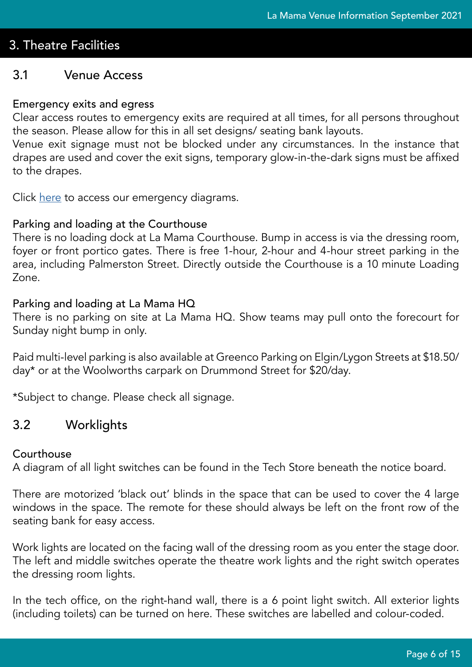# 3. Theatre Facilities

## <span id="page-5-0"></span>3.1 Venue Access

## Emergency exits and egress

Clear access routes to emergency exits are required at all times, for all persons throughout the season. Please allow for this in all set designs/ seating bank layouts.

Venue exit signage must not be blocked under any circumstances. In the instance that drapes are used and cover the exit signs, temporary glow-in-the-dark signs must be affixed to the drapes.

Click <u>[here](https://www.dropbox.com/sh/ed7cr304bmxp8w9/AAA2mZ4sObdeWzVCt1dAD6NQa?dl=0)</u> to access our emergency diagrams.

#### Parking and loading at the Courthouse

There is no loading dock at La Mama Courthouse. Bump in access is via the dressing room, foyer or front portico gates. There is free 1-hour, 2-hour and 4-hour street parking in the area, including Palmerston Street. Directly outside the Courthouse is a 10 minute Loading Zone.

#### Parking and loading at La Mama HQ

There is no parking on site at La Mama HQ. Show teams may pull onto the forecourt for Sunday night bump in only.

Paid multi-level parking is also available at Greenco Parking on Elgin/Lygon Streets at \$18.50/ day\* or at the Woolworths carpark on Drummond Street for \$20/day.

\*Subject to change. Please check all signage.

## <span id="page-5-1"></span>3.2 Worklights

#### Courthouse

A diagram of all light switches can be found in the Tech Store beneath the notice board.

There are motorized 'black out' blinds in the space that can be used to cover the 4 large windows in the space. The remote for these should always be left on the front row of the seating bank for easy access.

Work lights are located on the facing wall of the dressing room as you enter the stage door. The left and middle switches operate the theatre work lights and the right switch operates the dressing room lights.

In the tech office, on the right-hand wall, there is a 6 point light switch. All exterior lights (including toilets) can be turned on here. These switches are labelled and colour-coded.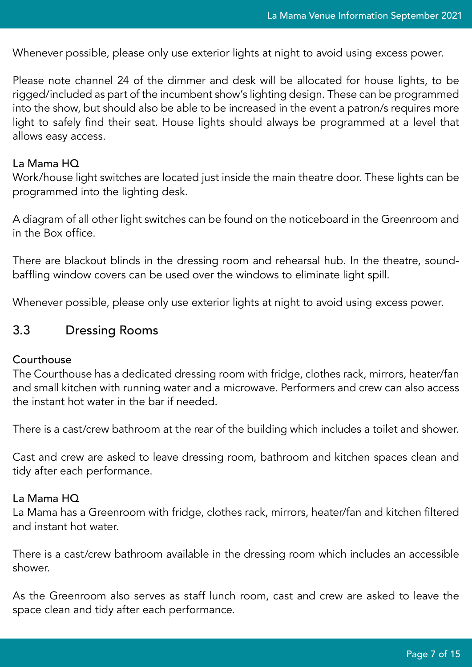Whenever possible, please only use exterior lights at night to avoid using excess power.

Please note channel 24 of the dimmer and desk will be allocated for house lights, to be rigged/included as part of the incumbent show's lighting design. These can be programmed into the show, but should also be able to be increased in the event a patron/s requires more light to safely find their seat. House lights should always be programmed at a level that allows easy access.

#### La Mama HQ

Work/house light switches are located just inside the main theatre door. These lights can be programmed into the lighting desk.

A diagram of all other light switches can be found on the noticeboard in the Greenroom and in the Box office.

There are blackout blinds in the dressing room and rehearsal hub. In the theatre, soundbaffling window covers can be used over the windows to eliminate light spill.

Whenever possible, please only use exterior lights at night to avoid using excess power.

## <span id="page-6-0"></span>3.3 Dressing Rooms

#### Courthouse

The Courthouse has a dedicated dressing room with fridge, clothes rack, mirrors, heater/fan and small kitchen with running water and a microwave. Performers and crew can also access the instant hot water in the bar if needed.

There is a cast/crew bathroom at the rear of the building which includes a toilet and shower.

Cast and crew are asked to leave dressing room, bathroom and kitchen spaces clean and tidy after each performance.

#### La Mama HQ

La Mama has a Greenroom with fridge, clothes rack, mirrors, heater/fan and kitchen filtered and instant hot water.

There is a cast/crew bathroom available in the dressing room which includes an accessible shower.

As the Greenroom also serves as staff lunch room, cast and crew are asked to leave the space clean and tidy after each performance.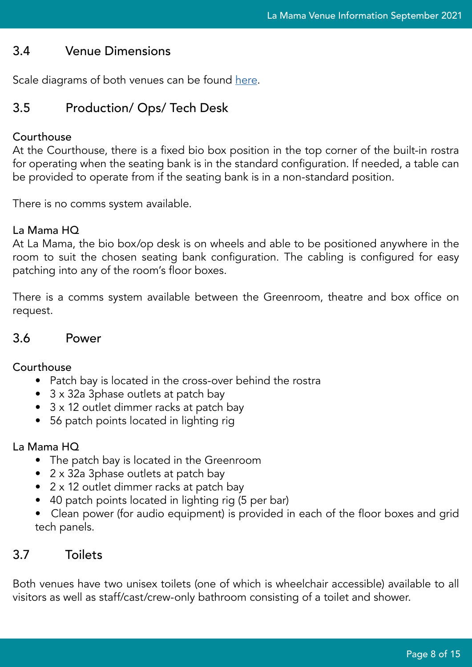# <span id="page-7-0"></span>3.4 Venue Dimensions

Scale diagrams of both venues can be found [here](https://www.dropbox.com/sh/ed7cr304bmxp8w9/AAA2mZ4sObdeWzVCt1dAD6NQa?dl=0).

# <span id="page-7-1"></span>3.5 Production/ Ops/ Tech Desk

## Courthouse

At the Courthouse, there is a fixed bio box position in the top corner of the built-in rostra for operating when the seating bank is in the standard configuration. If needed, a table can be provided to operate from if the seating bank is in a non-standard position.

There is no comms system available.

## La Mama HQ

At La Mama, the bio box/op desk is on wheels and able to be positioned anywhere in the room to suit the chosen seating bank configuration. The cabling is configured for easy patching into any of the room's floor boxes.

There is a comms system available between the Greenroom, theatre and box office on request.

## <span id="page-7-2"></span>3.6 Power

## Courthouse

- Patch bay is located in the cross-over behind the rostra
- 3 x 32a 3phase outlets at patch bay
- 3 x 12 outlet dimmer racks at patch bay
- 56 patch points located in lighting rig

## La Mama HQ

- The patch bay is located in the Greenroom
- 2 x 32a 3phase outlets at patch bay
- 2 x 12 outlet dimmer racks at patch bay
- 40 patch points located in lighting rig (5 per bar)
- Clean power (for audio equipment) is provided in each of the floor boxes and grid tech panels.

# <span id="page-7-3"></span>3.7 Toilets

Both venues have two unisex toilets (one of which is wheelchair accessible) available to all visitors as well as staff/cast/crew-only bathroom consisting of a toilet and shower.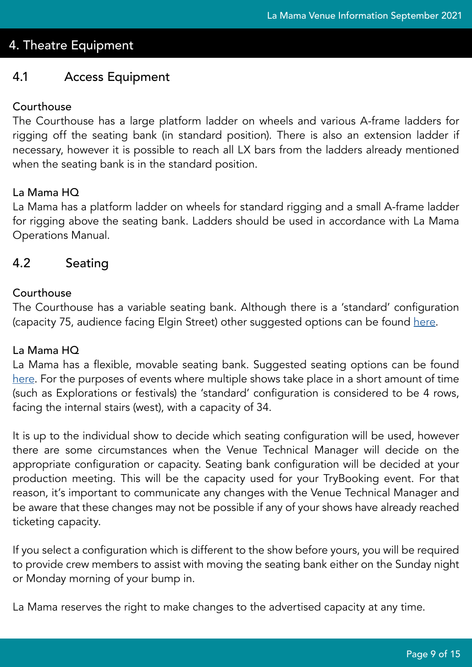# 4. Theatre Equipment

## <span id="page-8-0"></span>4.1 Access Equipment

## Courthouse

The Courthouse has a large platform ladder on wheels and various A-frame ladders for rigging off the seating bank (in standard position). There is also an extension ladder if necessary, however it is possible to reach all LX bars from the ladders already mentioned when the seating bank is in the standard position.

## La Mama HQ

La Mama has a platform ladder on wheels for standard rigging and a small A-frame ladder for rigging above the seating bank. Ladders should be used in accordance with La Mama Operations Manual.

## <span id="page-8-1"></span>4.2 Seating

## **Courthouse**

The Courthouse has a variable seating bank. Although there is a 'standard' configuration (capacity 75, audience facing Elgin Street) other suggested options can be found [here](https://www.dropbox.com/s/30rwn61vn3qewzv/Courthouse_Seating_Options_Nov2019.pdf?dl=0).

## La Mama HQ

La Mama has a flexible, movable seating bank. Suggested seating options can be found [here](https://www.dropbox.com/s/tgice4gv9r9bqj4/LMHQ_Seating_Options_Sep2021.pdf?dl=0). For the purposes of events where multiple shows take place in a short amount of time (such as Explorations or festivals) the 'standard' configuration is considered to be 4 rows, facing the internal stairs (west), with a capacity of 34.

It is up to the individual show to decide which seating configuration will be used, however there are some circumstances when the Venue Technical Manager will decide on the appropriate configuration or capacity. Seating bank configuration will be decided at your production meeting. This will be the capacity used for your TryBooking event. For that reason, it's important to communicate any changes with the Venue Technical Manager and be aware that these changes may not be possible if any of your shows have already reached ticketing capacity.

If you select a configuration which is different to the show before yours, you will be required to provide crew members to assist with moving the seating bank either on the Sunday night or Monday morning of your bump in.

La Mama reserves the right to make changes to the advertised capacity at any time.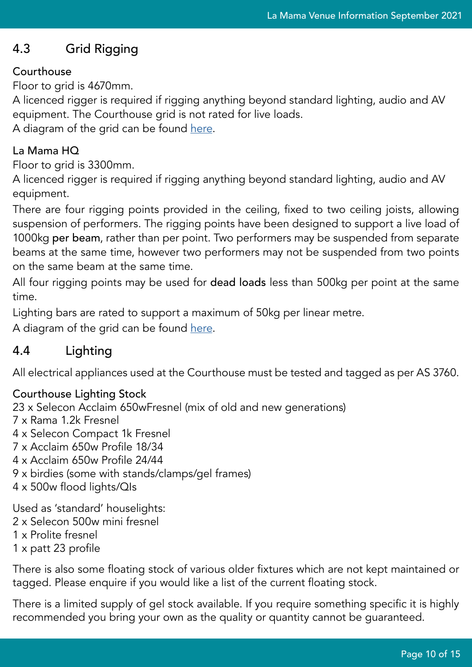# <span id="page-9-0"></span>4.3 Grid Rigging

## Courthouse

Floor to grid is 4670mm.

A licenced rigger is required if rigging anything beyond standard lighting, audio and AV equipment. The Courthouse grid is not rated for live loads.

A diagram of the grid can be found [here.](https://www.dropbox.com/s/kla2ba9p6i5fa5c/Courthouse_Lighting_Diagram_June2019.pdf?dl=0)

## La Mama HQ

Floor to grid is 3300mm.

A licenced rigger is required if rigging anything beyond standard lighting, audio and AV equipment.

There are four rigging points provided in the ceiling, fixed to two ceiling joists, allowing suspension of performers. The rigging points have been designed to support a live load of 1000kg per beam, rather than per point. Two performers may be suspended from separate beams at the same time, however two performers may not be suspended from two points on the same beam at the same time.

All four rigging points may be used for dead loads less than 500kg per point at the same time.

Lighting bars are rated to support a maximum of 50kg per linear metre.

A diagram of the grid can be found [here.](https://www.dropbox.com/s/o0pdi1xqyeus8ra/LMHQ_Lighting_Diagram_Sep2021.pdf?dl=0)

# <span id="page-9-1"></span>4.4 Lighting

All electrical appliances used at the Courthouse must be tested and tagged as per AS 3760.

# Courthouse Lighting Stock

23 x Selecon Acclaim 650wFresnel (mix of old and new generations) 7 x Rama 1.2k Fresnel 4 x Selecon Compact 1k Fresnel 7 x Acclaim 650w Profile 18/34 4 x Acclaim 650w Profile 24/44 9 x birdies (some with stands/clamps/gel frames) 4 x 500w flood lights/QIs Used as 'standard' houselights: 2 x Selecon 500w mini fresnel 1 x Prolite fresnel

1 x patt 23 profile

There is also some floating stock of various older fixtures which are not kept maintained or tagged. Please enquire if you would like a list of the current floating stock.

There is a limited supply of gel stock available. If you require something specific it is highly recommended you bring your own as the quality or quantity cannot be guaranteed.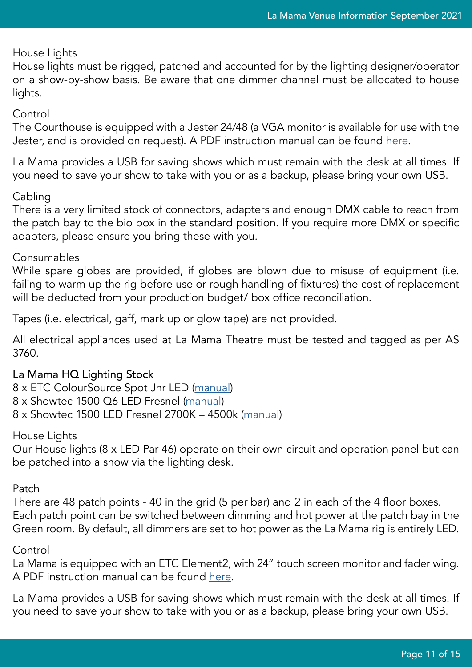#### House Lights

House lights must be rigged, patched and accounted for by the lighting designer/operator on a show-by-show basis. Be aware that one dimmer channel must be allocated to house lights.

#### Control

The Courthouse is equipped with a Jester 24/48 (a VGA monitor is available for use with the Jester, and is provided on request). A PDF instruction manual can be found [here.](https://www.dropbox.com/s/bgj2w74fnaiaa6d/Lighting%20desk%20manual%20Jester%2024%2048.pdf?dl=0)

La Mama provides a USB for saving shows which must remain with the desk at all times. If you need to save your show to take with you or as a backup, please bring your own USB.

## Cabling

There is a very limited stock of connectors, adapters and enough DMX cable to reach from the patch bay to the bio box in the standard position. If you require more DMX or specific adapters, please ensure you bring these with you.

## Consumables

While spare globes are provided, if globes are blown due to misuse of equipment (i.e. failing to warm up the rig before use or rough handling of fixtures) the cost of replacement will be deducted from your production budget/ box office reconciliation.

Tapes (i.e. electrical, gaff, mark up or glow tape) are not provided.

All electrical appliances used at La Mama Theatre must be tested and tagged as per AS 3760.

## La Mama HQ Lighting Stock

8 x ETC ColourSource Spot Jnr LED ([manual](https://www.dropbox.com/s/qxt4fdcbhv4eg7c/ColorSource%20Spot%20Jnr%20Manual.pdf?dl=0)) 8 x Showtec 1500 Q6 LED Fresnel ([manual](https://www.dropbox.com/s/w2mmhkdz6s0xwoz/performer_1500_fresnel_q6.pdf?dl=0)) 8 x Showtec 1500 LED Fresnel 2700K – 4500k ([manual](https://www.dropbox.com/s/xcjf1zd9kv4slut/Performer%201500%20fresnel%20tungsten.pdf?dl=0))

House Lights

Our House lights (8 x LED Par 46) operate on their own circuit and operation panel but can be patched into a show via the lighting desk.

## Patch

There are 48 patch points - 40 in the grid (5 per bar) and 2 in each of the 4 floor boxes. Each patch point can be switched between dimming and hot power at the patch bay in the Green room. By default, all dimmers are set to hot power as the La Mama rig is entirely LED.

## Control

La Mama is equipped with an ETC Element2, with 24" touch screen monitor and fader wing. A PDF instruction manual can be found [here](https://www.dropbox.com/s/0nq162viyvdoxo3/ETC%20Element2%20Lighting%20Console%20Manual.pdf?dl=0).

La Mama provides a USB for saving shows which must remain with the desk at all times. If you need to save your show to take with you or as a backup, please bring your own USB.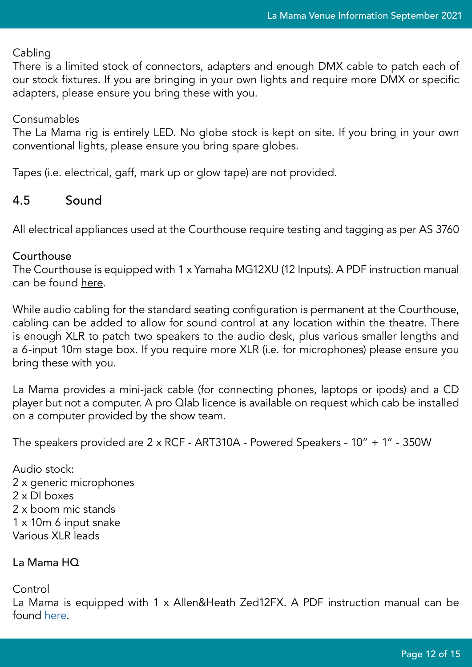## Cabling

There is a limited stock of connectors, adapters and enough DMX cable to patch each of our stock fixtures. If you are bringing in your own lights and require more DMX or specific adapters, please ensure you bring these with you.

## Consumables

The La Mama rig is entirely LED. No globe stock is kept on site. If you bring in your own conventional lights, please ensure you bring spare globes.

Tapes (i.e. electrical, gaff, mark up or glow tape) are not provided.

## <span id="page-11-0"></span>4.5 Sound

All electrical appliances used at the Courthouse require testing and tagging as per AS 3760

## **Courthouse**

The Courthouse is equipped with 1 x Yamaha MG12XU (12 Inputs). A PDF instruction manual can be found [here.](https://www.dropbox.com/s/di8ctl5lfrn94st/Audio%20desk%20Manual%20mg20xu.pdf?dl=0)

While audio cabling for the standard seating configuration is permanent at the Courthouse, cabling can be added to allow for sound control at any location within the theatre. There is enough XLR to patch two speakers to the audio desk, plus various smaller lengths and a 6-input 10m stage box. If you require more XLR (i.e. for microphones) please ensure you bring these with you.

La Mama provides a mini-jack cable (for connecting phones, laptops or ipods) and a CD player but not a computer. A pro Qlab licence is available on request which cab be installed on a computer provided by the show team.

The speakers provided are 2 x RCF - ART310A - Powered Speakers - 10" + 1" - 350W

Audio stock: 2 x generic microphones 2 x DI boxes 2 x boom mic stands 1 x 10m 6 input snake Various XLR leads

## La Mama HQ

Control

La Mama is equipped with 1 x Allen&Heath Zed12FX. A PDF instruction manual can be found [here.](https://www.dropbox.com/s/mj6omlt5lj7f68y/AllenHeath%20Zed12FX%20audio%20desk%20THEATRE.pdf?dl=0)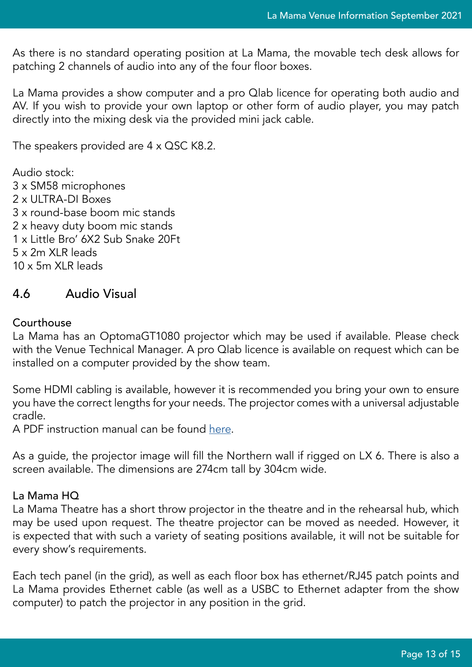As there is no standard operating position at La Mama, the movable tech desk allows for patching 2 channels of audio into any of the four floor boxes.

La Mama provides a show computer and a pro Qlab licence for operating both audio and AV. If you wish to provide your own laptop or other form of audio player, you may patch directly into the mixing desk via the provided mini jack cable.

The speakers provided are 4 x QSC K8.2.

Audio stock: 3 x SM58 microphones 2 x ULTRA-DI Boxes 3 x round-base boom mic stands 2 x heavy duty boom mic stands 1 x Little Bro' 6X2 Sub Snake 20Ft 5 x 2m XLR leads 10 x 5m XLR leads

## <span id="page-12-0"></span>4.6 Audio Visual

#### Courthouse

La Mama has an OptomaGT1080 projector which may be used if available. Please check with the Venue Technical Manager. A pro Qlab licence is available on request which can be installed on a computer provided by the show team.

Some HDMI cabling is available, however it is recommended you bring your own to ensure you have the correct lengths for your needs. The projector comes with a universal adjustable cradle.

A PDF instruction manual can be found [here](https://www.optoma.co.uk/uploads/manuals/GT1080e-M-en-GB.pdf).

As a guide, the projector image will fill the Northern wall if rigged on LX 6. There is also a screen available. The dimensions are 274cm tall by 304cm wide.

#### La Mama HQ

La Mama Theatre has a short throw projector in the theatre and in the rehearsal hub, which may be used upon request. The theatre projector can be moved as needed. However, it is expected that with such a variety of seating positions available, it will not be suitable for every show's requirements.

Each tech panel (in the grid), as well as each floor box has ethernet/RJ45 patch points and La Mama provides Ethernet cable (as well as a USBC to Ethernet adapter from the show computer) to patch the projector in any position in the grid.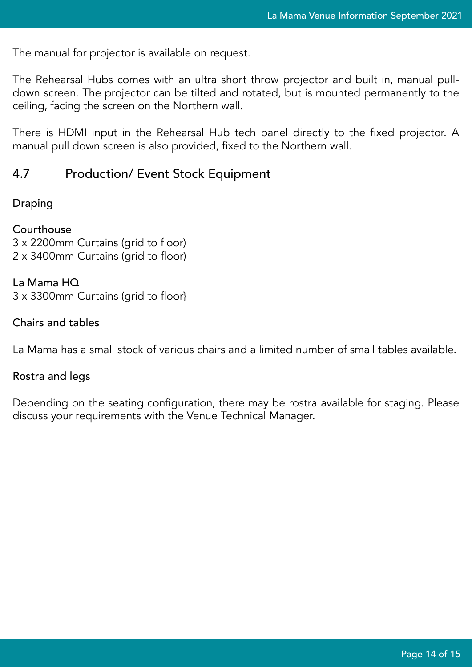The manual for projector is available on request.

The Rehearsal Hubs comes with an ultra short throw projector and built in, manual pulldown screen. The projector can be tilted and rotated, but is mounted permanently to the ceiling, facing the screen on the Northern wall.

There is HDMI input in the Rehearsal Hub tech panel directly to the fixed projector. A manual pull down screen is also provided, fixed to the Northern wall.

## <span id="page-13-0"></span>4.7 Production/ Event Stock Equipment

#### Draping

Courthouse 3 x 2200mm Curtains (grid to floor) 2 x 3400mm Curtains (grid to floor)

La Mama HQ 3 x 3300mm Curtains (grid to floor}

Chairs and tables

La Mama has a small stock of various chairs and a limited number of small tables available.

#### Rostra and legs

Depending on the seating configuration, there may be rostra available for staging. Please discuss your requirements with the Venue Technical Manager.